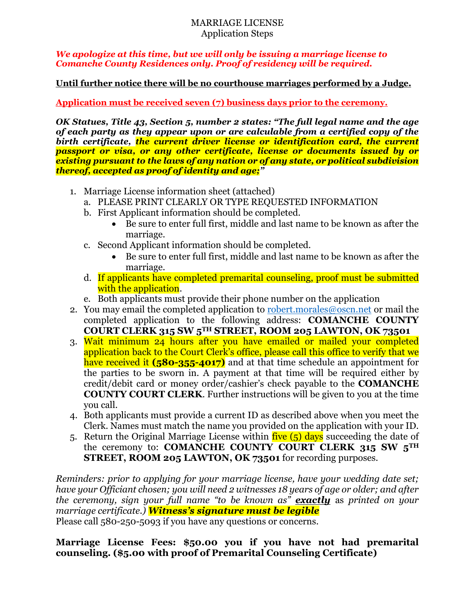### MARRIAGE LICENSE Application Steps

*We apologize at this time, but we will only be issuing a marriage license to Comanche County Residences only. Proof of residency will be required.* 

**Until further notice there will be no courthouse marriages performed by a Judge.** 

**Application must be received seven (7) business days prior to the ceremony.**

*OK Statues, Title 43, Section 5, number 2 states: "The full legal name and the age of each party as they appear upon or are calculable from a certified copy of the*  birth certificate, the current driver license or identification card, the current *passport or visa, or any other certificate, license or documents issued by or existing pursuant to the laws of any nation or of any state, or political subdivision thereof, accepted as proof of identity and age;"* 

- 1. Marriage License information sheet (attached)
	- a. PLEASE PRINT CLEARLY OR TYPE REQUESTED INFORMATION
	- b. First Applicant information should be completed.
		- Be sure to enter full first, middle and last name to be known as after the marriage.
	- c. Second Applicant information should be completed.
		- Be sure to enter full first, middle and last name to be known as after the marriage.
	- d. If applicants have completed premarital counseling, proof must be submitted with the application.
	- e. Both applicants must provide their phone number on the application
- 2. You may email the completed application to robert, morales @oscn, net or mail the completed application to the following address: **COMANCHE COUNTY COURT CLERK 315 SW 5TH STREET, ROOM 205 LAWTON, OK 73501**
- 3. Wait minimum 24 hours after you have emailed or mailed your completed application back to the Court Clerk's office, please call this office to verify that we have received it **(580-355-4017)** and at that time schedule an appointment for the parties to be sworn in. A payment at that time will be required either by credit/debit card or money order/cashier's check payable to the **COMANCHE COUNTY COURT CLERK**. Further instructions will be given to you at the time you call.
- 4. Both applicants must provide a current ID as described above when you meet the Clerk. Names must match the name you provided on the application with your ID.
- 5. Return the Original Marriage License within  $\frac{five}{f}$  (5) days succeeding the date of the ceremony to: **COMANCHE COUNTY COURT CLERK 315 SW 5TH STREET, ROOM 205 LAWTON, OK 73501** for recording purposes.

*Reminders: prior to applying for your marriage license, have your wedding date set; have your Officiant chosen; you will need 2 witnesses 18 years of age or older; and after the ceremony, sign your full name "to be known as" exactly* as *printed on your marriage certificate.) Witness's signature must be legible*

Please call 580-250-5093 if you have any questions or concerns.

## **Marriage License Fees: \$50.00 you if you have not had premarital counseling. (\$5.00 with proof of Premarital Counseling Certificate)**